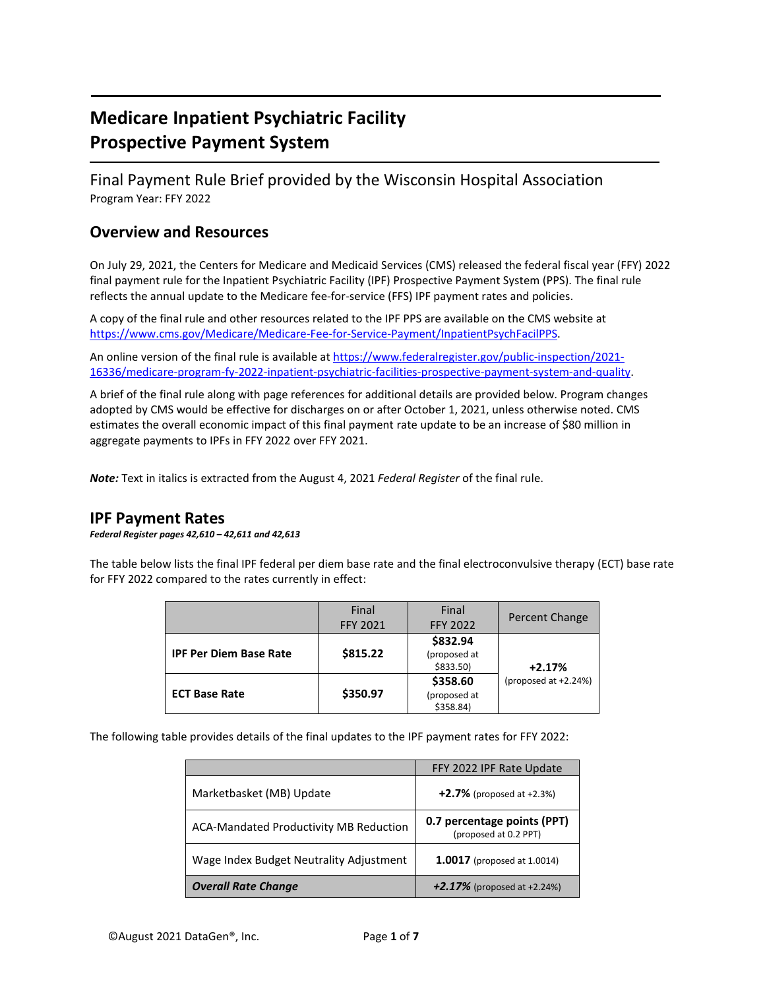# **Medicare Inpatient Psychiatric Facility Prospective Payment System**

Final Payment Rule Brief provided by the Wisconsin Hospital Association Program Year: FFY 2022

#### **Overview and Resources**

On July 29, 2021, the Centers for Medicare and Medicaid Services (CMS) released the federal fiscal year (FFY) 2022 final payment rule for the Inpatient Psychiatric Facility (IPF) Prospective Payment System (PPS). The final rule reflects the annual update to the Medicare fee-for-service (FFS) IPF payment rates and policies.

A copy of the final rule and other resources related to the IPF PPS are available on the CMS website at [https://www.cms.gov/Medicare/Medicare-Fee-for-Service-Payment/InpatientPsychFacilPPS.](https://www.cms.gov/Medicare/Medicare-Fee-for-Service-Payment/InpatientPsychFacilPPS)

An online version of the final rule is available at [https://www.federalregister.gov/public-inspection/2021-](https://www.federalregister.gov/public-inspection/2021-16336/medicare-program-fy-2022-inpatient-psychiatric-facilities-prospective-payment-system-and-quality) [16336/medicare-program-fy-2022-inpatient-psychiatric-facilities-prospective-payment-system-and-quality.](https://www.federalregister.gov/public-inspection/2021-16336/medicare-program-fy-2022-inpatient-psychiatric-facilities-prospective-payment-system-and-quality)

A brief of the final rule along with page references for additional details are provided below. Program changes adopted by CMS would be effective for discharges on or after October 1, 2021, unless otherwise noted. CMS estimates the overall economic impact of this final payment rate update to be an increase of \$80 million in aggregate payments to IPFs in FFY 2022 over FFY 2021.

*Note:* Text in italics is extracted from the August 4, 2021 *Federal Register* of the final rule.

#### **IPF Payment Rates**

*Federal Register pages 42,610 – 42,611 and 42,613*

The table below lists the final IPF federal per diem base rate and the final electroconvulsive therapy (ECT) base rate for FFY 2022 compared to the rates currently in effect:

|                               | Final<br><b>FFY 2021</b> | Final<br><b>FFY 2022</b>              | Percent Change                   |  |
|-------------------------------|--------------------------|---------------------------------------|----------------------------------|--|
| <b>IPF Per Diem Base Rate</b> | \$815.22                 | \$832.94<br>(proposed at<br>\$833.50) | $+2.17%$<br>(proposed at +2.24%) |  |
| <b>ECT Base Rate</b>          | \$350.97                 | \$358.60<br>(proposed at<br>\$358.84) |                                  |  |

The following table provides details of the final updates to the IPF payment rates for FFY 2022:

|                                         | FFY 2022 IPF Rate Update                             |
|-----------------------------------------|------------------------------------------------------|
| Marketbasket (MB) Update                | $+2.7%$ (proposed at +2.3%)                          |
| ACA-Mandated Productivity MB Reduction  | 0.7 percentage points (PPT)<br>(proposed at 0.2 PPT) |
| Wage Index Budget Neutrality Adjustment | <b>1.0017</b> (proposed at 1.0014)                   |
| <b>Overall Rate Change</b>              | +2.17% (proposed at +2.24%)                          |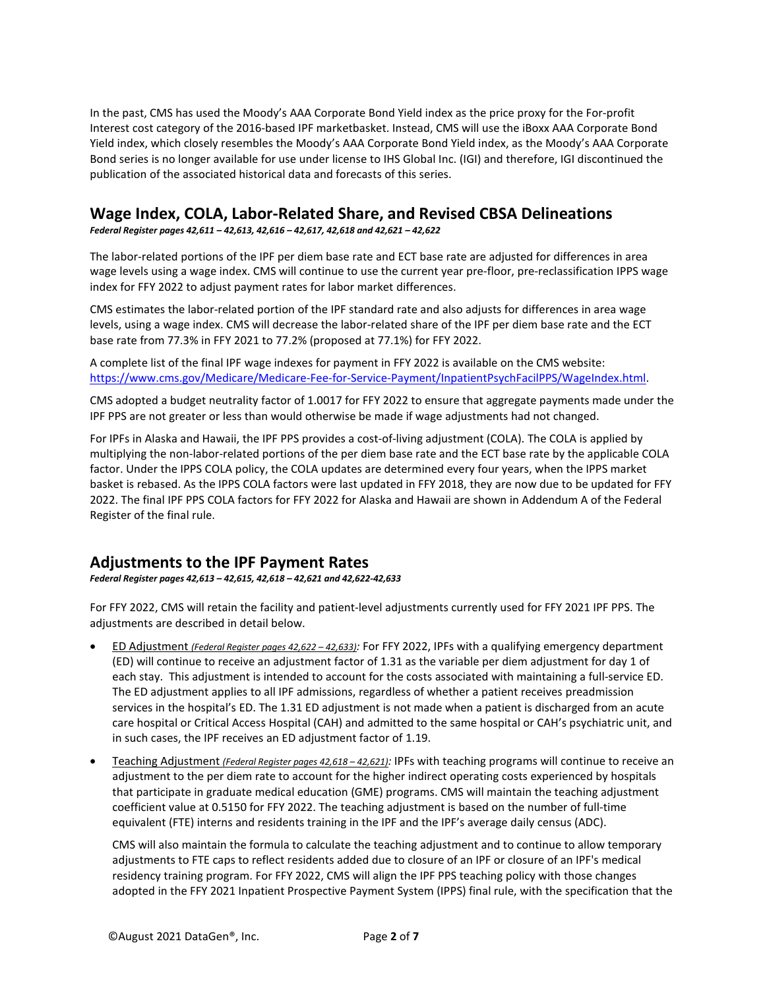In the past, CMS has used the Moody's AAA Corporate Bond Yield index as the price proxy for the For-profit Interest cost category of the 2016-based IPF marketbasket. Instead, CMS will use the iBoxx AAA Corporate Bond Yield index, which closely resembles the Moody's AAA Corporate Bond Yield index, as the Moody's AAA Corporate Bond series is no longer available for use under license to IHS Global Inc. (IGI) and therefore, IGI discontinued the publication of the associated historical data and forecasts of this series.

#### **Wage Index, COLA, Labor-Related Share, and Revised CBSA Delineations**

*Federal Register pages 42,611 – 42,613, 42,616 – 42,617, 42,618 and 42,621 – 42,622*

The labor-related portions of the IPF per diem base rate and ECT base rate are adjusted for differences in area wage levels using a wage index. CMS will continue to use the current year pre-floor, pre-reclassification IPPS wage index for FFY 2022 to adjust payment rates for labor market differences.

CMS estimates the labor-related portion of the IPF standard rate and also adjusts for differences in area wage levels, using a wage index. CMS will decrease the labor-related share of the IPF per diem base rate and the ECT base rate from 77.3% in FFY 2021 to 77.2% (proposed at 77.1%) for FFY 2022.

A complete list of the final IPF wage indexes for payment in FFY 2022 is available on the CMS website: [https://www.cms.gov/Medicare/Medicare-Fee-for-Service-Payment/InpatientPsychFacilPPS/WageIndex.html.](https://www.cms.gov/Medicare/Medicare-Fee-for-Service-Payment/InpatientPsychFacilPPS/WageIndex.html)

CMS adopted a budget neutrality factor of 1.0017 for FFY 2022 to ensure that aggregate payments made under the IPF PPS are not greater or less than would otherwise be made if wage adjustments had not changed.

For IPFs in Alaska and Hawaii, the IPF PPS provides a cost-of-living adjustment (COLA). The COLA is applied by multiplying the non-labor-related portions of the per diem base rate and the ECT base rate by the applicable COLA factor. Under the IPPS COLA policy, the COLA updates are determined every four years, when the IPPS market basket is rebased. As the IPPS COLA factors were last updated in FFY 2018, they are now due to be updated for FFY 2022. The final IPF PPS COLA factors for FFY 2022 for Alaska and Hawaii are shown in Addendum A of the Federal Register of the final rule.

#### **Adjustments to the IPF Payment Rates**

*Federal Register pages 42,613 – 42,615, 42,618 – 42,621 and 42,622-42,633*

For FFY 2022, CMS will retain the facility and patient-level adjustments currently used for FFY 2021 IPF PPS. The adjustments are described in detail below.

- ED Adjustment *(Federal Register pages 42,622 – 42,633):* For FFY 2022, IPFs with a qualifying emergency department (ED) will continue to receive an adjustment factor of 1.31 as the variable per diem adjustment for day 1 of each stay. This adjustment is intended to account for the costs associated with maintaining a full-service ED. The ED adjustment applies to all IPF admissions, regardless of whether a patient receives preadmission services in the hospital's ED. The 1.31 ED adjustment is not made when a patient is discharged from an acute care hospital or Critical Access Hospital (CAH) and admitted to the same hospital or CAH's psychiatric unit, and in such cases, the IPF receives an ED adjustment factor of 1.19.
- Teaching Adjustment *(Federal Register pages 42,618 – 42,621):* IPFs with teaching programs will continue to receive an adjustment to the per diem rate to account for the higher indirect operating costs experienced by hospitals that participate in graduate medical education (GME) programs. CMS will maintain the teaching adjustment coefficient value at 0.5150 for FFY 2022. The teaching adjustment is based on the number of full-time equivalent (FTE) interns and residents training in the IPF and the IPF's average daily census (ADC).

CMS will also maintain the formula to calculate the teaching adjustment and to continue to allow temporary adjustments to FTE caps to reflect residents added due to closure of an IPF or closure of an IPF's medical residency training program. For FFY 2022, CMS will align the IPF PPS teaching policy with those changes adopted in the FFY 2021 Inpatient Prospective Payment System (IPPS) final rule, with the specification that the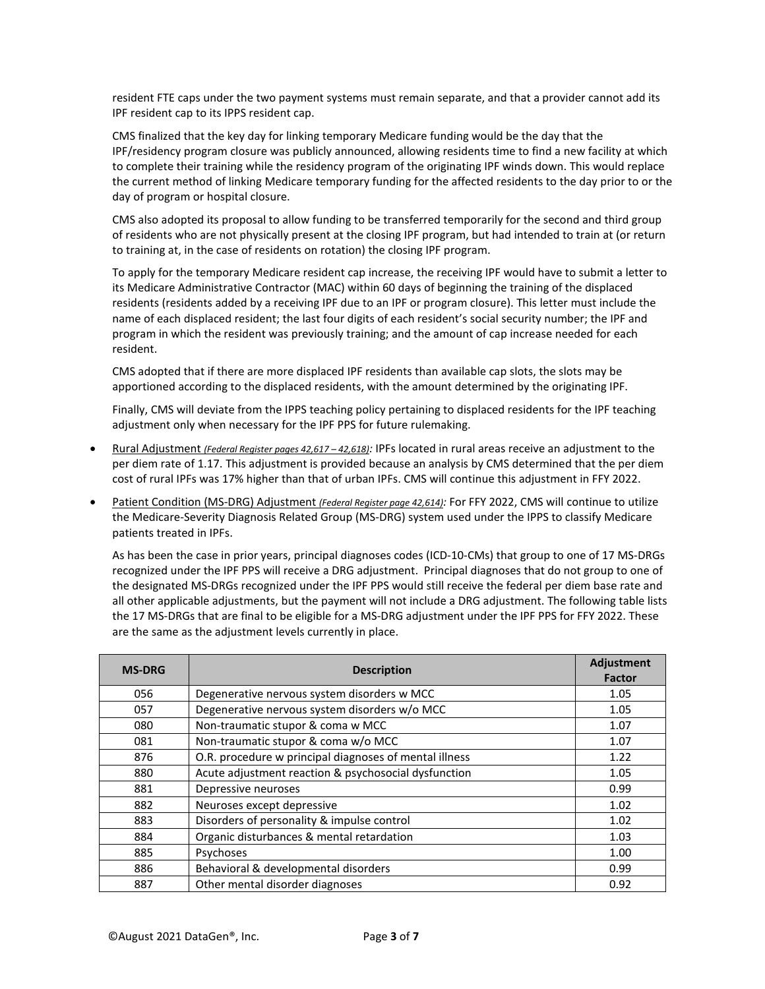resident FTE caps under the two payment systems must remain separate, and that a provider cannot add its IPF resident cap to its IPPS resident cap.

CMS finalized that the key day for linking temporary Medicare funding would be the day that the IPF/residency program closure was publicly announced, allowing residents time to find a new facility at which to complete their training while the residency program of the originating IPF winds down. This would replace the current method of linking Medicare temporary funding for the affected residents to the day prior to or the day of program or hospital closure.

CMS also adopted its proposal to allow funding to be transferred temporarily for the second and third group of residents who are not physically present at the closing IPF program, but had intended to train at (or return to training at, in the case of residents on rotation) the closing IPF program.

To apply for the temporary Medicare resident cap increase, the receiving IPF would have to submit a letter to its Medicare Administrative Contractor (MAC) within 60 days of beginning the training of the displaced residents (residents added by a receiving IPF due to an IPF or program closure). This letter must include the name of each displaced resident; the last four digits of each resident's social security number; the IPF and program in which the resident was previously training; and the amount of cap increase needed for each resident.

CMS adopted that if there are more displaced IPF residents than available cap slots, the slots may be apportioned according to the displaced residents, with the amount determined by the originating IPF.

Finally, CMS will deviate from the IPPS teaching policy pertaining to displaced residents for the IPF teaching adjustment only when necessary for the IPF PPS for future rulemaking.

- Rural Adjustment *(Federal Register pages 42,617 – 42,618):* IPFs located in rural areas receive an adjustment to the per diem rate of 1.17. This adjustment is provided because an analysis by CMS determined that the per diem cost of rural IPFs was 17% higher than that of urban IPFs. CMS will continue this adjustment in FFY 2022.
- Patient Condition (MS-DRG) Adjustment *(Federal Register page 42,614):* For FFY 2022, CMS will continue to utilize the Medicare-Severity Diagnosis Related Group (MS-DRG) system used under the IPPS to classify Medicare patients treated in IPFs.

As has been the case in prior years, principal diagnoses codes (ICD-10-CMs) that group to one of 17 MS-DRGs recognized under the IPF PPS will receive a DRG adjustment. Principal diagnoses that do not group to one of the designated MS-DRGs recognized under the IPF PPS would still receive the federal per diem base rate and all other applicable adjustments, but the payment will not include a DRG adjustment. The following table lists the 17 MS-DRGs that are final to be eligible for a MS-DRG adjustment under the IPF PPS for FFY 2022. These are the same as the adjustment levels currently in place.

| <b>MS-DRG</b> | <b>Description</b>                                     | Adjustment<br><b>Factor</b> |
|---------------|--------------------------------------------------------|-----------------------------|
| 056           | Degenerative nervous system disorders w MCC            | 1.05                        |
| 057           | Degenerative nervous system disorders w/o MCC          | 1.05                        |
| 080           | Non-traumatic stupor & coma w MCC                      | 1.07                        |
| 081           | Non-traumatic stupor & coma w/o MCC                    | 1.07                        |
| 876           | O.R. procedure w principal diagnoses of mental illness | 1.22                        |
| 880           | Acute adjustment reaction & psychosocial dysfunction   | 1.05                        |
| 881           | Depressive neuroses                                    | 0.99                        |
| 882           | Neuroses except depressive                             | 1.02                        |
| 883           | Disorders of personality & impulse control             | 1.02                        |
| 884           | Organic disturbances & mental retardation              | 1.03                        |
| 885           | Psychoses                                              | 1.00                        |
| 886           | Behavioral & developmental disorders                   | 0.99                        |
| 887           | Other mental disorder diagnoses                        | 0.92                        |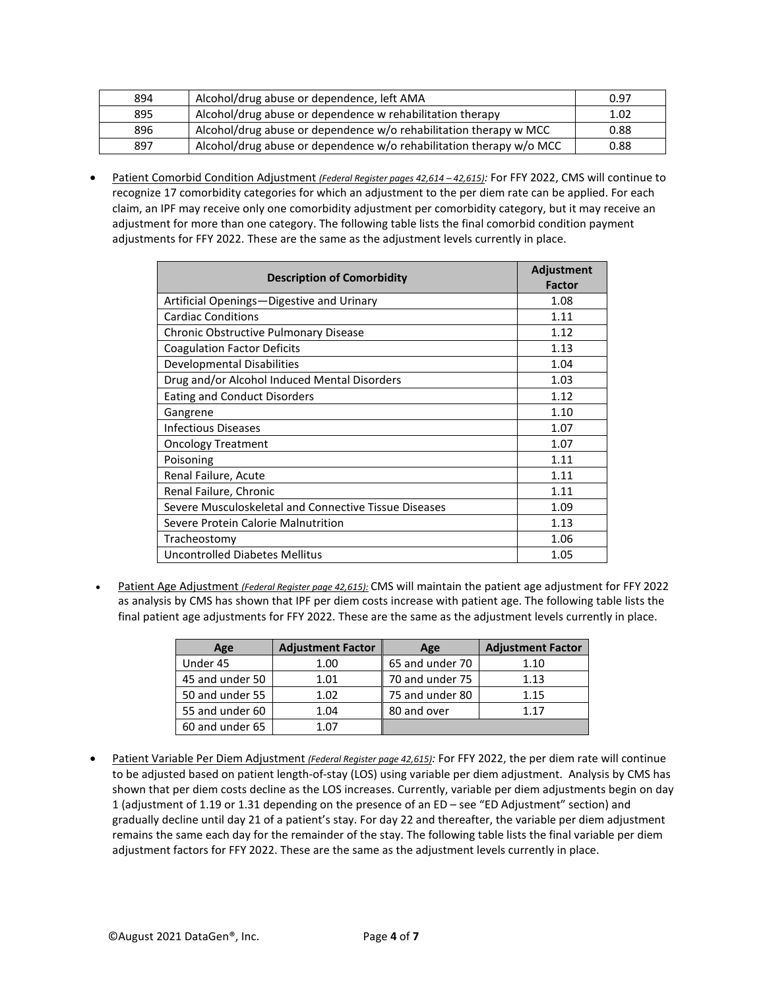| 894 | Alcohol/drug abuse or dependence, left AMA                          | 0.97 |
|-----|---------------------------------------------------------------------|------|
| 895 | Alcohol/drug abuse or dependence w rehabilitation therapy           | 1.02 |
| 896 | Alcohol/drug abuse or dependence w/o rehabilitation therapy w MCC   | 0.88 |
| 897 | Alcohol/drug abuse or dependence w/o rehabilitation therapy w/o MCC | 0.88 |

• Patient Comorbid Condition Adjustment *(Federal Register pages 42,614 – 42,615):* For FFY 2022, CMS will continue to recognize 17 comorbidity categories for which an adjustment to the per diem rate can be applied. For each claim, an IPF may receive only one comorbidity adjustment per comorbidity category, but it may receive an adjustment for more than one category. The following table lists the final comorbid condition payment adjustments for FFY 2022. These are the same as the adjustment levels currently in place.

| <b>Description of Comorbidity</b>                     | Adjustment<br><b>Factor</b> |
|-------------------------------------------------------|-----------------------------|
| Artificial Openings—Digestive and Urinary             | 1.08                        |
| <b>Cardiac Conditions</b>                             | 1.11                        |
| Chronic Obstructive Pulmonary Disease                 | 1.12                        |
| <b>Coagulation Factor Deficits</b>                    | 1.13                        |
| Developmental Disabilities                            | 1.04                        |
| Drug and/or Alcohol Induced Mental Disorders          | 1.03                        |
| <b>Eating and Conduct Disorders</b>                   | 1.12                        |
| Gangrene                                              | 1.10                        |
| <b>Infectious Diseases</b>                            | 1.07                        |
| <b>Oncology Treatment</b>                             | 1.07                        |
| Poisoning                                             | 1.11                        |
| Renal Failure, Acute                                  | 1.11                        |
| Renal Failure, Chronic                                | 1.11                        |
| Severe Musculoskeletal and Connective Tissue Diseases | 1.09                        |
| Severe Protein Calorie Malnutrition                   | 1.13                        |
| Tracheostomy                                          | 1.06                        |
| Uncontrolled Diabetes Mellitus                        | 1.05                        |

• Patient Age Adjustment *(Federal Register page 42,615):* CMS will maintain the patient age adjustment for FFY 2022 as analysis by CMS has shown that IPF per diem costs increase with patient age. The following table lists the final patient age adjustments for FFY 2022. These are the same as the adjustment levels currently in place.

| Age             | <b>Adjustment Factor</b> | Age             | <b>Adjustment Factor</b> |
|-----------------|--------------------------|-----------------|--------------------------|
| Under 45        | 1.00                     | 65 and under 70 | 1.10                     |
| 45 and under 50 | 1.01                     | 70 and under 75 | 1.13                     |
| 50 and under 55 | 1.02                     | 75 and under 80 | 1.15                     |
| 55 and under 60 | 1.04                     | 80 and over     | 1 1 7                    |
| 60 and under 65 | 1 በ7                     |                 |                          |

• Patient Variable Per Diem Adjustment *(Federal Register page 42,615):* For FFY 2022, the per diem rate will continue to be adjusted based on patient length-of-stay (LOS) using variable per diem adjustment. Analysis by CMS has shown that per diem costs decline as the LOS increases. Currently, variable per diem adjustments begin on day 1 (adjustment of 1.19 or 1.31 depending on the presence of an ED – see "ED Adjustment" section) and gradually decline until day 21 of a patient's stay. For day 22 and thereafter, the variable per diem adjustment remains the same each day for the remainder of the stay. The following table lists the final variable per diem adjustment factors for FFY 2022. These are the same as the adjustment levels currently in place.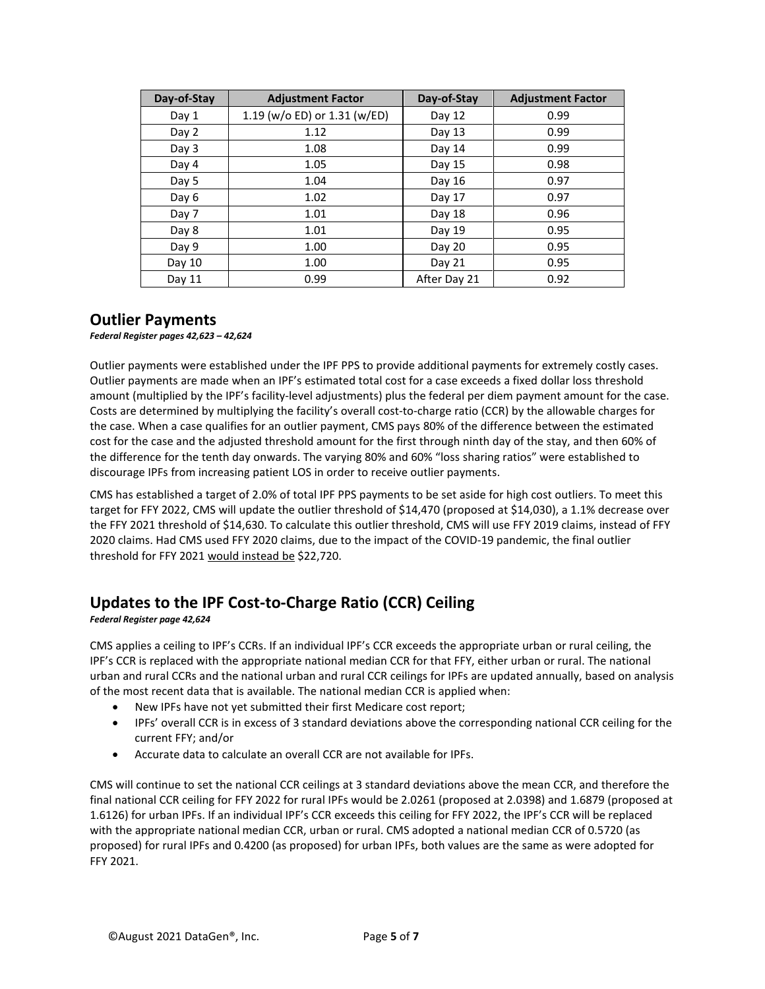| Day-of-Stay | <b>Adjustment Factor</b>     | Day-of-Stay  | <b>Adjustment Factor</b> |
|-------------|------------------------------|--------------|--------------------------|
| Day 1       | 1.19 (w/o ED) or 1.31 (w/ED) | Day 12       | 0.99                     |
| Day 2       | 1.12                         | Day 13       | 0.99                     |
| Day 3       | 1.08                         | Day 14       | 0.99                     |
| Day 4       | 1.05                         | Day 15       | 0.98                     |
| Day 5       | 1.04                         | Day $16$     | 0.97                     |
| Day 6       | 1.02                         | Day 17       | 0.97                     |
| Day 7       | 1.01                         | Day 18       | 0.96                     |
| Day 8       | 1.01                         | Day 19       | 0.95                     |
| Day 9       | 1.00                         | Day 20       | 0.95                     |
| Day 10      | 1.00                         | Day 21       | 0.95                     |
| Day 11      | 0.99                         | After Day 21 | 0.92                     |

#### **Outlier Payments**

*Federal Register pages 42,623 – 42,624*

Outlier payments were established under the IPF PPS to provide additional payments for extremely costly cases. Outlier payments are made when an IPF's estimated total cost for a case exceeds a fixed dollar loss threshold amount (multiplied by the IPF's facility-level adjustments) plus the federal per diem payment amount for the case. Costs are determined by multiplying the facility's overall cost-to-charge ratio (CCR) by the allowable charges for the case. When a case qualifies for an outlier payment, CMS pays 80% of the difference between the estimated cost for the case and the adjusted threshold amount for the first through ninth day of the stay, and then 60% of the difference for the tenth day onwards. The varying 80% and 60% "loss sharing ratios" were established to discourage IPFs from increasing patient LOS in order to receive outlier payments.

CMS has established a target of 2.0% of total IPF PPS payments to be set aside for high cost outliers. To meet this target for FFY 2022, CMS will update the outlier threshold of \$14,470 (proposed at \$14,030), a 1.1% decrease over the FFY 2021 threshold of \$14,630. To calculate this outlier threshold, CMS will use FFY 2019 claims, instead of FFY 2020 claims. Had CMS used FFY 2020 claims, due to the impact of the COVID-19 pandemic, the final outlier threshold for FFY 2021 would instead be \$22,720.

## **Updates to the IPF Cost-to-Charge Ratio (CCR) Ceiling**

*Federal Register page 42,624*

CMS applies a ceiling to IPF's CCRs. If an individual IPF's CCR exceeds the appropriate urban or rural ceiling, the IPF's CCR is replaced with the appropriate national median CCR for that FFY, either urban or rural. The national urban and rural CCRs and the national urban and rural CCR ceilings for IPFs are updated annually, based on analysis of the most recent data that is available. The national median CCR is applied when:

- New IPFs have not yet submitted their first Medicare cost report;
- IPFs' overall CCR is in excess of 3 standard deviations above the corresponding national CCR ceiling for the current FFY; and/or
- Accurate data to calculate an overall CCR are not available for IPFs.

CMS will continue to set the national CCR ceilings at 3 standard deviations above the mean CCR, and therefore the final national CCR ceiling for FFY 2022 for rural IPFs would be 2.0261 (proposed at 2.0398) and 1.6879 (proposed at 1.6126) for urban IPFs. If an individual IPF's CCR exceeds this ceiling for FFY 2022, the IPF's CCR will be replaced with the appropriate national median CCR, urban or rural. CMS adopted a national median CCR of 0.5720 (as proposed) for rural IPFs and 0.4200 (as proposed) for urban IPFs, both values are the same as were adopted for FFY 2021.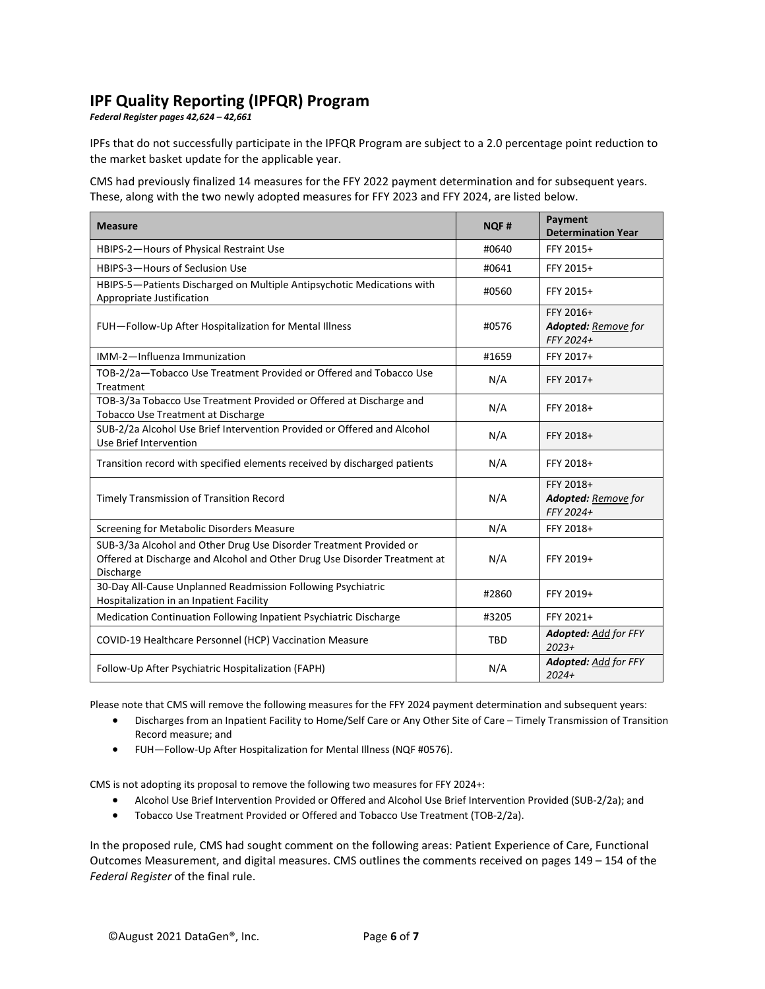### **IPF Quality Reporting (IPFQR) Program**

*Federal Register pages 42,624 – 42,661*

IPFs that do not successfully participate in the IPFQR Program are subject to a 2.0 percentage point reduction to the market basket update for the applicable year.

CMS had previously finalized 14 measures for the FFY 2022 payment determination and for subsequent years. These, along with the two newly adopted measures for FFY 2023 and FFY 2024, are listed below.

| <b>Measure</b>                                                                                                                                               | <b>NQF#</b> | Payment<br><b>Determination Year</b>          |
|--------------------------------------------------------------------------------------------------------------------------------------------------------------|-------------|-----------------------------------------------|
| HBIPS-2-Hours of Physical Restraint Use                                                                                                                      | #0640       | FFY 2015+                                     |
| HBIPS-3-Hours of Seclusion Use                                                                                                                               | #0641       | FFY 2015+                                     |
| HBIPS-5-Patients Discharged on Multiple Antipsychotic Medications with<br>Appropriate Justification                                                          | #0560       | FFY 2015+                                     |
| FUH-Follow-Up After Hospitalization for Mental Illness                                                                                                       | #0576       | FFY 2016+<br>Adopted: Remove for<br>FFY 2024+ |
| IMM-2-Influenza Immunization                                                                                                                                 | #1659       | FFY 2017+                                     |
| TOB-2/2a-Tobacco Use Treatment Provided or Offered and Tobacco Use<br>Treatment                                                                              | N/A         | FFY 2017+                                     |
| TOB-3/3a Tobacco Use Treatment Provided or Offered at Discharge and<br>Tobacco Use Treatment at Discharge                                                    | N/A         | FFY 2018+                                     |
| SUB-2/2a Alcohol Use Brief Intervention Provided or Offered and Alcohol<br>Use Brief Intervention                                                            | N/A         | FFY 2018+                                     |
| Transition record with specified elements received by discharged patients                                                                                    | N/A         | FFY 2018+                                     |
| Timely Transmission of Transition Record                                                                                                                     | N/A         | FFY 2018+<br>Adopted: Remove for<br>FFY 2024+ |
| Screening for Metabolic Disorders Measure                                                                                                                    | N/A         | FFY 2018+                                     |
| SUB-3/3a Alcohol and Other Drug Use Disorder Treatment Provided or<br>Offered at Discharge and Alcohol and Other Drug Use Disorder Treatment at<br>Discharge | N/A         | FFY 2019+                                     |
| 30-Day All-Cause Unplanned Readmission Following Psychiatric<br>Hospitalization in an Inpatient Facility                                                     | #2860       | FFY 2019+                                     |
| Medication Continuation Following Inpatient Psychiatric Discharge                                                                                            | #3205       | FFY 2021+                                     |
| COVID-19 Healthcare Personnel (HCP) Vaccination Measure                                                                                                      | TBD         | <b>Adopted:</b> Add for FFY<br>$2023+$        |
| Follow-Up After Psychiatric Hospitalization (FAPH)                                                                                                           | N/A         | Adopted: Add for FFY<br>$2024+$               |

Please note that CMS will remove the following measures for the FFY 2024 payment determination and subsequent years:

- Discharges from an Inpatient Facility to Home/Self Care or Any Other Site of Care Timely Transmission of Transition Record measure; and
- FUH—Follow-Up After Hospitalization for Mental Illness (NQF #0576).

CMS is not adopting its proposal to remove the following two measures for FFY 2024+:

- Alcohol Use Brief Intervention Provided or Offered and Alcohol Use Brief Intervention Provided (SUB-2/2a); and
- Tobacco Use Treatment Provided or Offered and Tobacco Use Treatment (TOB-2/2a).

In the proposed rule, CMS had sought comment on the following areas: Patient Experience of Care, Functional Outcomes Measurement, and digital measures. CMS outlines the comments received on pages 149 – 154 of the *Federal Register* of the final rule.